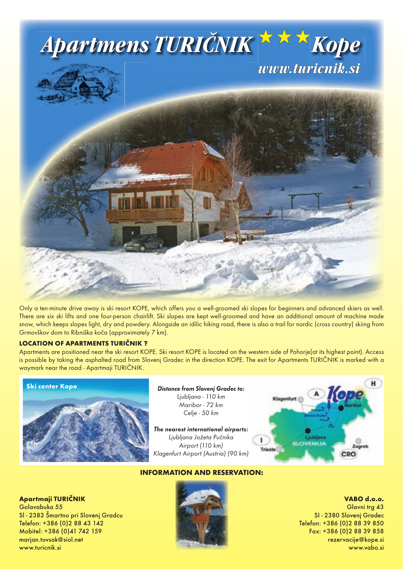

Only a ten-minute drive away is ski resort KOPE, which offers you a well-groomed ski slopes for beginners and advanced skiers as well. There are six ski lifts and one four-person chairlift. Ski slopes are kept well-groomed and have an additional amount of machine made snow, which keeps slopes light, dry and powdery. Alongside an idilic hiking road, there is also a trail for nordic (cross country) skiing from Grmovškov dom to Ribniška koča (approximately 7 km).

## **LOCATION OF APARTMENTS TURIČNIK ?**

Apartments are positioned near the ski resort KOPE. Ski resort KOPE is located on the western side of Pohorje(at its highest point). Access is possible by taking the asphalted road from Slovenj Gradec in the direction KOPE. The exit for Apartments TURIČNIK is marked with a waymark near the road - Apartmaji TURIČNIK.



Distance from Slovenj Gradec to: Ljubljana - 110 km Maribor - 72 km Celje - 50 km

The nearest international airports: Ljubljana Jožeta Pučnika Airport (110 km) Klagenfurt Airport (Austria) (90 km)



## **INFORMATION AND RESERVATION:**



**VABO d.o.o.** Glavni trg 43 SI - 2380 Slovenj Gradec Telefon: +386 (0)2 88 39 850 Fax: +386 (0)2 88 39 858 rezervacije@kope.si www.vabo.si

## **Apartmaji TURIČNIK** Golavabuka 55 Sl - 2383 Šmartno pri Slovenj Gradcu Telefon: +386 (0)2 88 43 142 Mobitel: +386 (0)41 742 159 marjan.tovsak@siol.net www.turicnik.si